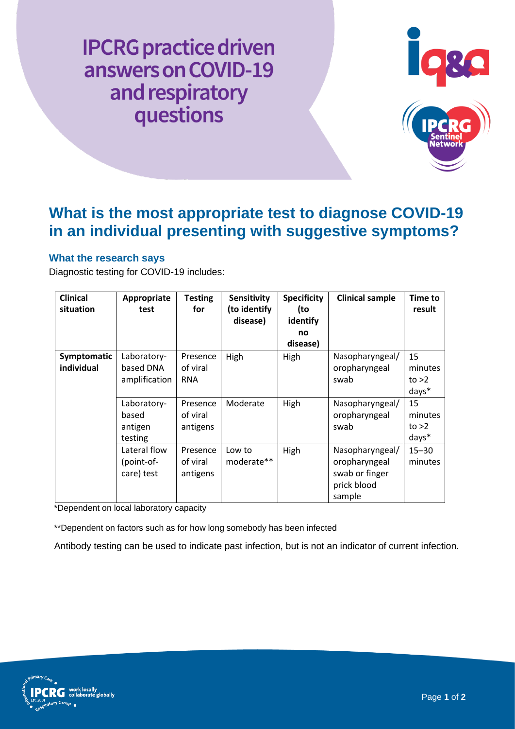**IPCRG** practice driven answers on COVID-19 and respiratory questions



# **What is the most appropriate test to diagnose COVID-19 in an individual presenting with suggestive symptoms?**

### **What the research says**

Diagnostic testing for COVID-19 includes:

| <b>Clinical</b><br>situation | Appropriate<br>test                        | <b>Testing</b><br>for              | Sensitivity<br>(to identify<br>disease) | <b>Specificity</b><br>(to<br>identify<br>no<br>disease) | <b>Clinical sample</b>                                                      | <b>Time to</b><br>result          |
|------------------------------|--------------------------------------------|------------------------------------|-----------------------------------------|---------------------------------------------------------|-----------------------------------------------------------------------------|-----------------------------------|
| Symptomatic<br>individual    | Laboratory-<br>based DNA<br>amplification  | Presence<br>of viral<br><b>RNA</b> | High                                    | High                                                    | Nasopharyngeal/<br>oropharyngeal<br>swab                                    | 15<br>minutes<br>to $>2$<br>days* |
|                              | Laboratory-<br>based<br>antigen<br>testing | Presence<br>of viral<br>antigens   | Moderate                                | High                                                    | Nasopharyngeal/<br>oropharyngeal<br>swab                                    | 15<br>minutes<br>to $>2$<br>days* |
|                              | Lateral flow<br>(point-of-<br>care) test   | Presence<br>of viral<br>antigens   | Low to<br>moderate**                    | High                                                    | Nasopharyngeal/<br>oropharyngeal<br>swab or finger<br>prick blood<br>sample | $15 - 30$<br>minutes              |

\*Dependent on local laboratory capacity

\*\*Dependent on factors such as for how long somebody has been infected

Antibody testing can be used to indicate past infection, but is not an indicator of current infection.